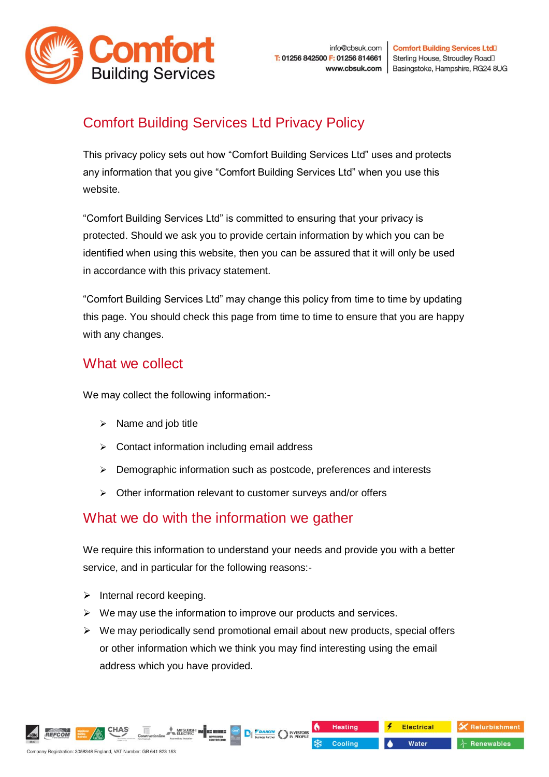

# Comfort Building Services Ltd Privacy Policy

This privacy policy sets out how "Comfort Building Services Ltd" uses and protects any information that you give "Comfort Building Services Ltd" when you use this website.

"Comfort Building Services Ltd" is committed to ensuring that your privacy is protected. Should we ask you to provide certain information by which you can be identified when using this website, then you can be assured that it will only be used in accordance with this privacy statement.

"Comfort Building Services Ltd" may change this policy from time to time by updating this page. You should check this page from time to time to ensure that you are happy with any changes.

# What we collect

We may collect the following information:-

- ➢ Name and job title
- ➢ Contact information including email address
- ➢ Demographic information such as postcode, preferences and interests
- ➢ Other information relevant to customer surveys and/or offers

### What we do with the information we gather

We require this information to understand your needs and provide you with a better service, and in particular for the following reasons:-

- $\triangleright$  Internal record keeping.
- $\triangleright$  We may use the information to improve our products and services.
- $\triangleright$  We may periodically send promotional email about new products, special offers or other information which we think you may find interesting using the email address which you have provided.

**DE TANKIN** NESTO

**Heating** 

Cooling

**Electrical** 

Water

Refurbishment

 $\lambda$  Renewables

REFCOM